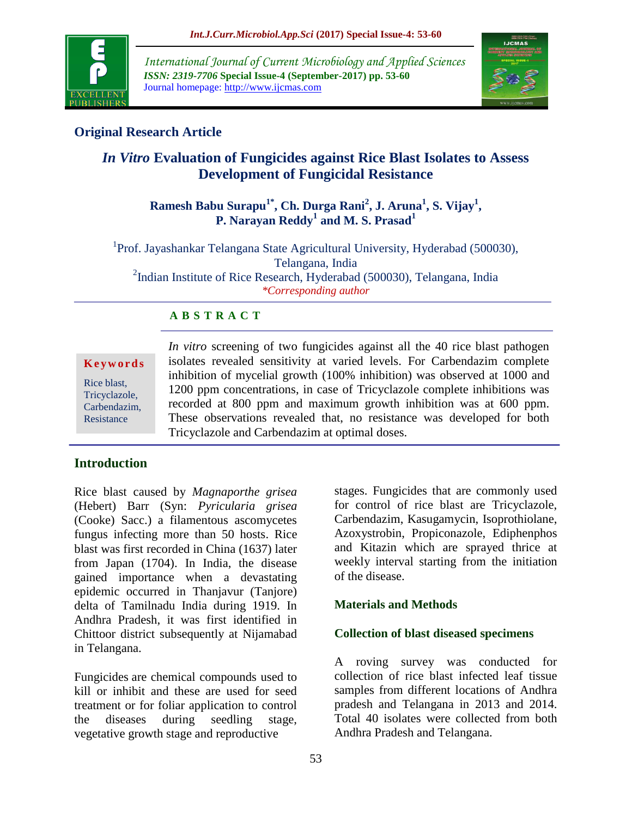

*International Journal of Current Microbiology and Applied Sciences ISSN: 2319-7706* **Special Issue-4 (September-2017) pp. 53-60** Journal homepage: http://www.ijcmas.com



## **Original Research Article**

# *In Vitro* **Evaluation of Fungicides against Rice Blast Isolates to Assess Development of Fungicidal Resistance**

## **Ramesh Babu Surapu1\* , Ch. Durga Rani<sup>2</sup> , J. Aruna<sup>1</sup> , S. Vijay<sup>1</sup> , P. Narayan Reddy<sup>1</sup> and M. S. Prasad<sup>1</sup>**

<sup>1</sup>Prof. Jayashankar Telangana State Agricultural University, Hyderabad (500030), Telangana, India <sup>2</sup>Indian Institute of Rice Research, Hyderabad (500030), Telangana, India *\*Corresponding author*

### **A B S T R A C T**

**K e y w o r d s** Rice blast, Tricyclazole, Carbendazim, Resistance

*In vitro* screening of two fungicides against all the 40 rice blast pathogen isolates revealed sensitivity at varied levels. For Carbendazim complete inhibition of mycelial growth (100% inhibition) was observed at 1000 and 1200 ppm concentrations, in case of Tricyclazole complete inhibitions was recorded at 800 ppm and maximum growth inhibition was at 600 ppm. These observations revealed that, no resistance was developed for both Tricyclazole and Carbendazim at optimal doses.

## **Introduction**

Rice blast caused by *Magnaporthe grisea*  (Hebert) Barr (Syn: *Pyricularia grisea*  (Cooke) Sacc.) a filamentous ascomycetes fungus infecting more than 50 hosts. Rice blast was first recorded in China (1637) later from Japan (1704). In India, the disease gained importance when a devastating epidemic occurred in Thanjavur (Tanjore) delta of Tamilnadu India during 1919. In Andhra Pradesh, it was first identified in Chittoor district subsequently at Nijamabad in Telangana.

Fungicides are chemical compounds used to kill or inhibit and these are used for seed treatment or for foliar application to control the diseases during seedling stage, vegetative growth stage and reproductive

stages. Fungicides that are commonly used for control of rice blast are Tricyclazole, Carbendazim, Kasugamycin, Isoprothiolane, Azoxystrobin, Propiconazole, Ediphenphos and Kitazin which are sprayed thrice at weekly interval starting from the initiation of the disease.

## **Materials and Methods**

### **Collection of blast diseased specimens**

A roving survey was conducted for collection of rice blast infected leaf tissue samples from different locations of Andhra pradesh and Telangana in 2013 and 2014. Total 40 isolates were collected from both Andhra Pradesh and Telangana.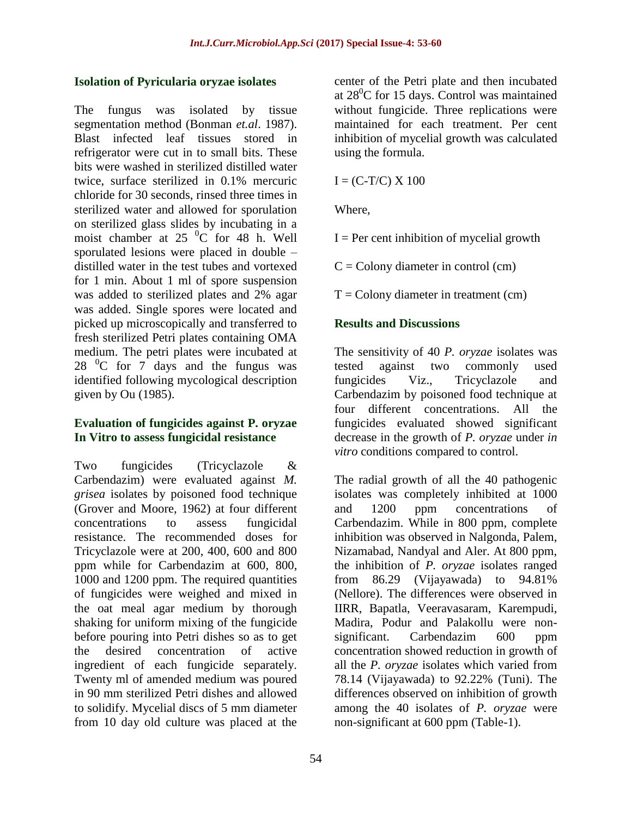#### **Isolation of Pyricularia oryzae isolates**

The fungus was isolated by tissue segmentation method (Bonman *et.al*. 1987). Blast infected leaf tissues stored in refrigerator were cut in to small bits. These bits were washed in sterilized distilled water twice, surface sterilized in 0.1% mercuric chloride for 30 seconds, rinsed three times in sterilized water and allowed for sporulation on sterilized glass slides by incubating in a moist chamber at  $25\degree$ C for 48 h. Well sporulated lesions were placed in double – distilled water in the test tubes and vortexed for 1 min. About 1 ml of spore suspension was added to sterilized plates and 2% agar was added. Single spores were located and picked up microscopically and transferred to fresh sterilized Petri plates containing OMA medium. The petri plates were incubated at  $28<sup>0</sup>C$  for 7 days and the fungus was identified following mycological description given by Ou (1985).

### **Evaluation of fungicides against P. oryzae In Vitro to assess fungicidal resistance**

Two fungicides (Tricyclazole & Carbendazim) were evaluated against *M. grisea* isolates by poisoned food technique (Grover and Moore, 1962) at four different concentrations to assess fungicidal resistance. The recommended doses for Tricyclazole were at 200, 400, 600 and 800 ppm while for Carbendazim at 600, 800, 1000 and 1200 ppm. The required quantities of fungicides were weighed and mixed in the oat meal agar medium by thorough shaking for uniform mixing of the fungicide before pouring into Petri dishes so as to get the desired concentration of active ingredient of each fungicide separately. Twenty ml of amended medium was poured in 90 mm sterilized Petri dishes and allowed to solidify. Mycelial discs of 5 mm diameter from 10 day old culture was placed at the

center of the Petri plate and then incubated at  $28^0C$  for 15 days. Control was maintained without fungicide. Three replications were maintained for each treatment. Per cent inhibition of mycelial growth was calculated using the formula.

 $I = (C-T/C) \times 100$ 

Where,

 $I = Per$  cent inhibition of mycelial growth

 $C =$  Colony diameter in control (cm)

 $T =$  Colony diameter in treatment (cm)

### **Results and Discussions**

The sensitivity of 40 *P. oryzae* isolates was tested against two commonly used fungicides Viz., Tricyclazole and Carbendazim by poisoned food technique at four different concentrations. All the fungicides evaluated showed significant decrease in the growth of *P. oryzae* under *in vitro* conditions compared to control.

The radial growth of all the 40 pathogenic isolates was completely inhibited at 1000 and 1200 ppm concentrations of Carbendazim. While in 800 ppm, complete inhibition was observed in Nalgonda, Palem, Nizamabad, Nandyal and Aler. At 800 ppm, the inhibition of *P. oryzae* isolates ranged from 86.29 (Vijayawada) to 94.81% (Nellore). The differences were observed in IIRR, Bapatla, Veeravasaram, Karempudi, Madira, Podur and Palakollu were nonsignificant. Carbendazim 600 ppm concentration showed reduction in growth of all the *P. oryzae* isolates which varied from 78.14 (Vijayawada) to 92.22% (Tuni). The differences observed on inhibition of growth among the 40 isolates of *P. oryzae* were non-significant at 600 ppm (Table-1).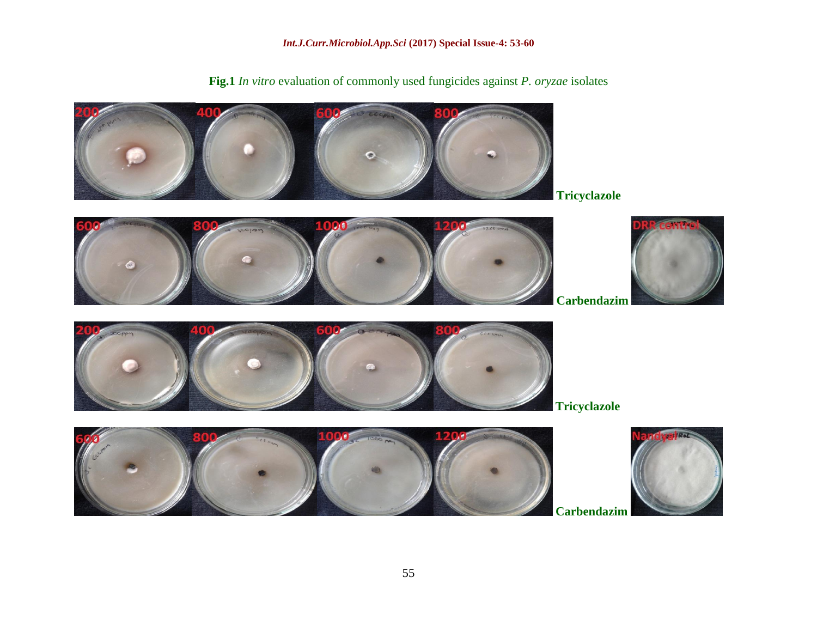*Int.J.Curr.Microbiol.App.Sci* **(2017) Special Issue-4: 53-60**

**Fig.1** *In vitro* evaluation of commonly used fungicides against *P. oryzae* isolates













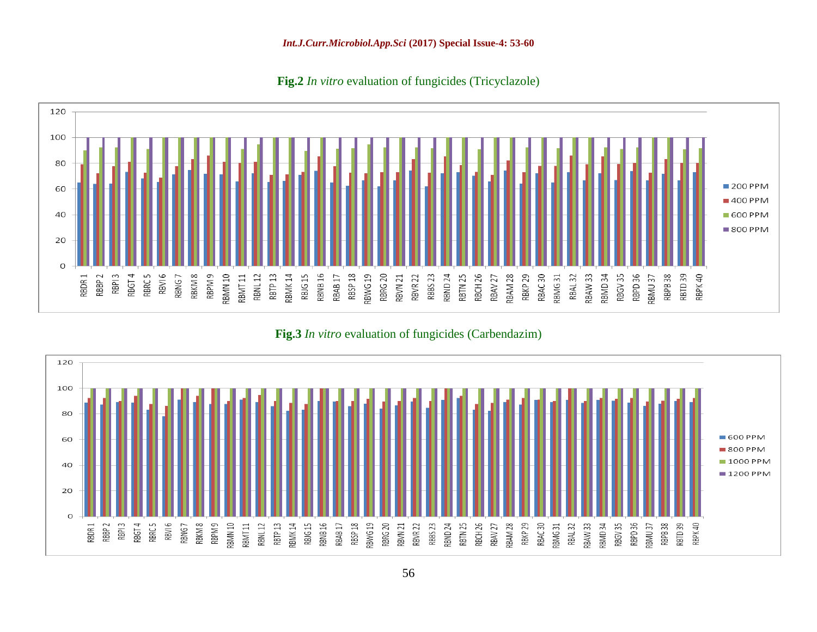#### *Int.J.Curr.Microbiol.App.Sci* **(2017) Special Issue-4: 53-60**

**Fig.2** *In vitro* evaluation of fungicides (Tricyclazole)



**Fig.3** *In vitro* evaluation of fungicides (Carbendazim)

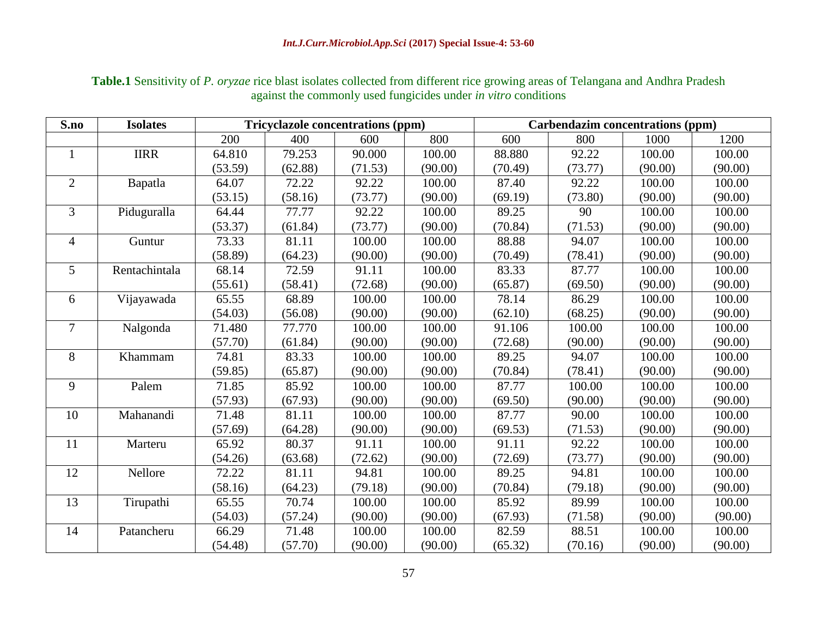| Table.1 Sensitivity of P. oryzae rice blast isolates collected from different rice growing areas of Telangana and Andhra Pradesh |
|----------------------------------------------------------------------------------------------------------------------------------|
| against the commonly used fungicides under <i>in vitro</i> conditions                                                            |

| S.no           | <b>Isolates</b> | <b>Tricyclazole concentrations (ppm)</b> |         |         | Carbendazim concentrations (ppm) |         |         |         |         |
|----------------|-----------------|------------------------------------------|---------|---------|----------------------------------|---------|---------|---------|---------|
|                |                 | 200                                      | 400     | 600     | 800                              | 600     | 800     | 1000    | 1200    |
| $\mathbf{1}$   | <b>IIRR</b>     | 64.810                                   | 79.253  | 90.000  | 100.00                           | 88.880  | 92.22   | 100.00  | 100.00  |
|                |                 | (53.59)                                  | (62.88) | (71.53) | (90.00)                          | (70.49) | (73.77) | (90.00) | (90.00) |
| $\overline{2}$ | Bapatla         | 64.07                                    | 72.22   | 92.22   | 100.00                           | 87.40   | 92.22   | 100.00  | 100.00  |
|                |                 | (53.15)                                  | (58.16) | (73.77) | (90.00)                          | (69.19) | (73.80) | (90.00) | (90.00) |
| 3              | Piduguralla     | 64.44                                    | 77.77   | 92.22   | 100.00                           | 89.25   | 90      | 100.00  | 100.00  |
|                |                 | (53.37)                                  | (61.84) | (73.77) | (90.00)                          | (70.84) | (71.53) | (90.00) | (90.00) |
| $\overline{4}$ | Guntur          | 73.33                                    | 81.11   | 100.00  | 100.00                           | 88.88   | 94.07   | 100.00  | 100.00  |
|                |                 | (58.89)                                  | (64.23) | (90.00) | (90.00)                          | (70.49) | (78.41) | (90.00) | (90.00) |
| 5              | Rentachintala   | 68.14                                    | 72.59   | 91.11   | 100.00                           | 83.33   | 87.77   | 100.00  | 100.00  |
|                |                 | (55.61)                                  | (58.41) | (72.68) | (90.00)                          | (65.87) | (69.50) | (90.00) | (90.00) |
| 6              | Vijayawada      | 65.55                                    | 68.89   | 100.00  | 100.00                           | 78.14   | 86.29   | 100.00  | 100.00  |
|                |                 | (54.03)                                  | (56.08) | (90.00) | (90.00)                          | (62.10) | (68.25) | (90.00) | (90.00) |
| $\overline{7}$ | Nalgonda        | 71.480                                   | 77.770  | 100.00  | 100.00                           | 91.106  | 100.00  | 100.00  | 100.00  |
|                |                 | (57.70)                                  | (61.84) | (90.00) | (90.00)                          | (72.68) | (90.00) | (90.00) | (90.00) |
| 8              | Khammam         | 74.81                                    | 83.33   | 100.00  | 100.00                           | 89.25   | 94.07   | 100.00  | 100.00  |
|                |                 | (59.85)                                  | (65.87) | (90.00) | (90.00)                          | (70.84) | (78.41) | (90.00) | (90.00) |
| 9              | Palem           | 71.85                                    | 85.92   | 100.00  | 100.00                           | 87.77   | 100.00  | 100.00  | 100.00  |
|                |                 | (57.93)                                  | (67.93) | (90.00) | (90.00)                          | (69.50) | (90.00) | (90.00) | (90.00) |
| 10             | Mahanandi       | 71.48                                    | 81.11   | 100.00  | 100.00                           | 87.77   | 90.00   | 100.00  | 100.00  |
|                |                 | (57.69)                                  | (64.28) | (90.00) | (90.00)                          | (69.53) | (71.53) | (90.00) | (90.00) |
| 11             | Marteru         | 65.92                                    | 80.37   | 91.11   | 100.00                           | 91.11   | 92.22   | 100.00  | 100.00  |
|                |                 | (54.26)                                  | (63.68) | (72.62) | (90.00)                          | (72.69) | (73.77) | (90.00) | (90.00) |
| 12             | Nellore         | 72.22                                    | 81.11   | 94.81   | 100.00                           | 89.25   | 94.81   | 100.00  | 100.00  |
|                |                 | (58.16)                                  | (64.23) | (79.18) | (90.00)                          | (70.84) | (79.18) | (90.00) | (90.00) |
| 13             | Tirupathi       | 65.55                                    | 70.74   | 100.00  | 100.00                           | 85.92   | 89.99   | 100.00  | 100.00  |
|                |                 | (54.03)                                  | (57.24) | (90.00) | (90.00)                          | (67.93) | (71.58) | (90.00) | (90.00) |
| 14             | Patancheru      | 66.29                                    | 71.48   | 100.00  | 100.00                           | 82.59   | 88.51   | 100.00  | 100.00  |
|                |                 | (54.48)                                  | (57.70) | (90.00) | (90.00)                          | (65.32) | (70.16) | (90.00) | (90.00) |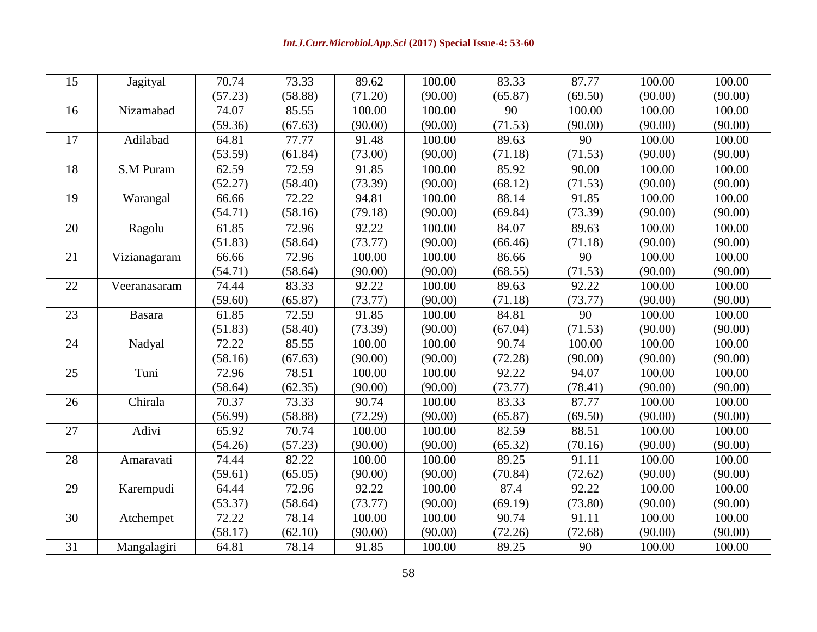| 15              | Jagityal         | 70.74   | 73.33   | 89.62   | 100.00  | 83.33   | 87.77   | 100.00  | 100.00              |
|-----------------|------------------|---------|---------|---------|---------|---------|---------|---------|---------------------|
|                 |                  | (57.23) | (58.88) | (71.20) | (90.00) | (65.87) | (69.50) | (90.00) | (90.00)             |
| 16              | Nizamabad        | 74.07   | 85.55   | 100.00  | 100.00  | 90      | 100.00  | 100.00  | 100.00              |
|                 |                  | (59.36) | (67.63) | (90.00) | (90.00) | (71.53) | (90.00) | (90.00) | (90.00)             |
| 17              | Adilabad         | 64.81   | 77.77   | 91.48   | 100.00  | 89.63   | 90      | 100.00  | 100.00              |
|                 |                  | (53.59) | (61.84) | (73.00) | (90.00) | (71.18) | (71.53) | (90.00) | (90.00)             |
| 18              | <b>S.M Puram</b> | 62.59   | 72.59   | 91.85   | 100.00  | 85.92   | 90.00   | 100.00  | 100.00              |
|                 |                  | (52.27) | (58.40) | (73.39) | (90.00) | (68.12) | (71.53) | (90.00) | (90.00)             |
| 19              | Warangal         | 66.66   | 72.22   | 94.81   | 100.00  | 88.14   | 91.85   | 100.00  | 100.00              |
|                 |                  | (54.71) | (58.16) | (79.18) | (90.00) | (69.84) | (73.39) | (90.00) | (90.00)             |
| 20              | Ragolu           | 61.85   | 72.96   | 92.22   | 100.00  | 84.07   | 89.63   | 100.00  | 100.00              |
|                 |                  | (51.83) | (58.64) | (73.77) | (90.00) | (66.46) | (71.18) | (90.00) | (90.00)             |
| 21              | Vizianagaram     | 66.66   | 72.96   | 100.00  | 100.00  | 86.66   | 90      | 100.00  | 100.00              |
|                 |                  | (54.71) | (58.64) | (90.00) | (90.00) | (68.55) | (71.53) | (90.00) | (90.00)             |
| 22              | Veeranasaram     | 74.44   | 83.33   | 92.22   | 100.00  | 89.63   | 92.22   | 100.00  | 100.00              |
|                 |                  | (59.60) | (65.87) | (73.77) | (90.00) | (71.18) | (73.77) | (90.00) | (90.00)             |
| 23              | <b>Basara</b>    | 61.85   | 72.59   | 91.85   | 100.00  | 84.81   | 90      | 100.00  | 100.00              |
|                 |                  | (51.83) | (58.40) | (73.39) | (90.00) | (67.04) | (71.53) | (90.00) | (90.00)             |
| 24              | Nadyal           | 72.22   | 85.55   | 100.00  | 100.00  | 90.74   | 100.00  | 100.00  | 100.00              |
|                 |                  | (58.16) | (67.63) | (90.00) | (90.00) | (72.28) | (90.00) | (90.00) | (90.00)             |
| 25              | Tuni             | 72.96   | 78.51   | 100.00  | 100.00  | 92.22   | 94.07   | 100.00  | 100.00              |
|                 |                  | (58.64) | (62.35) | (90.00) | (90.00) | (73.77) | (78.41) | (90.00) | (90.00)             |
| 26              | Chirala          | 70.37   | 73.33   | 90.74   | 100.00  | 83.33   | 87.77   | 100.00  | 100.00              |
|                 |                  | (56.99) | (58.88) | (72.29) | (90.00) | (65.87) | (69.50) | (90.00) | (90.00)             |
| 27              | Adivi            | 65.92   | 70.74   | 100.00  | 100.00  | 82.59   | 88.51   | 100.00  | $\overline{100.00}$ |
|                 |                  | (54.26) | (57.23) | (90.00) | (90.00) | (65.32) | (70.16) | (90.00) | (90.00)             |
| 28              | Amaravati        | 74.44   | 82.22   | 100.00  | 100.00  | 89.25   | 91.11   | 100.00  | 100.00              |
|                 |                  | (59.61) | (65.05) | (90.00) | (90.00) | (70.84) | (72.62) | (90.00) | (90.00)             |
| 29              | Karempudi        | 64.44   | 72.96   | 92.22   | 100.00  | 87.4    | 92.22   | 100.00  | 100.00              |
|                 |                  | (53.37) | (58.64) | (73.77) | (90.00) | (69.19) | (73.80) | (90.00) | (90.00)             |
| $\overline{30}$ | Atchempet        | 72.22   | 78.14   | 100.00  | 100.00  | 90.74   | 91.11   | 100.00  | 100.00              |
|                 |                  | (58.17) | (62.10) | (90.00) | (90.00) | (72.26) | (72.68) | (90.00) | (90.00)             |
| 31              | Mangalagiri      | 64.81   | 78.14   | 91.85   | 100.00  | 89.25   | 90      | 100.00  | 100.00              |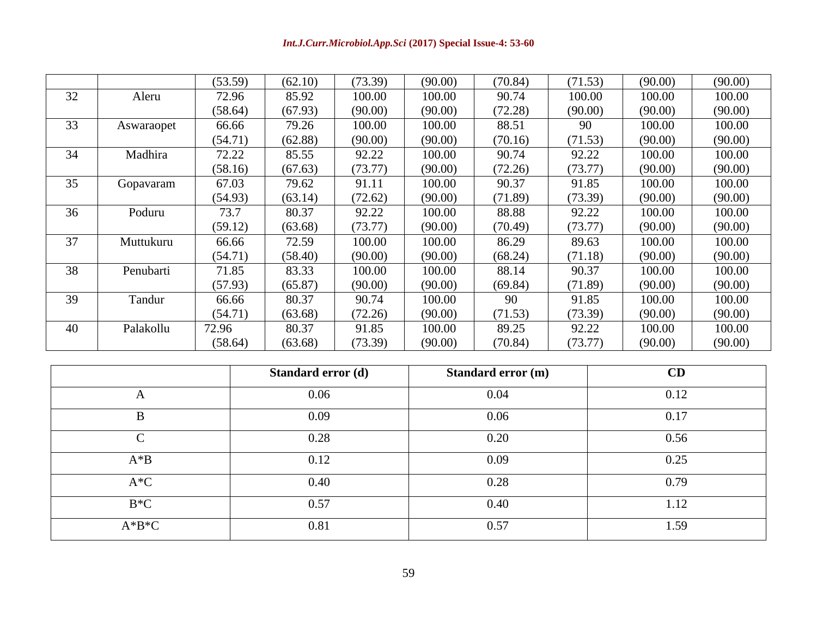|    |            | (53.59) | (62.10) | (73.39) | (90.00) | (70.84) | (71.53) | (90.00) | (90.00) |
|----|------------|---------|---------|---------|---------|---------|---------|---------|---------|
| 32 | Aleru      | 72.96   | 85.92   | 100.00  | 100.00  | 90.74   | 100.00  | 100.00  | 100.00  |
|    |            | (58.64) | (67.93) | (90.00) | (90.00) | (72.28) | (90.00) | (90.00) | (90.00) |
| 33 | Aswaraopet | 66.66   | 79.26   | 100.00  | 100.00  | 88.51   | 90      | 100.00  | 100.00  |
|    |            | (54.71) | (62.88) | (90.00) | (90.00) | (70.16) | (71.53) | (90.00) | (90.00) |
| 34 | Madhira    | 72.22   | 85.55   | 92.22   | 100.00  | 90.74   | 92.22   | 100.00  | 100.00  |
|    |            | (58.16) | (67.63) | (73.77) | (90.00) | (72.26) | (73.77) | (90.00) | (90.00) |
| 35 | Gopavaram  | 67.03   | 79.62   | 91.11   | 100.00  | 90.37   | 91.85   | 100.00  | 100.00  |
|    |            | (54.93) | (63.14) | (72.62) | (90.00) | (71.89) | (73.39) | (90.00) | (90.00) |
| 36 | Poduru     | 73.7    | 80.37   | 92.22   | 100.00  | 88.88   | 92.22   | 100.00  | 100.00  |
|    |            | (59.12) | (63.68) | (73.77) | (90.00) | (70.49) | (73.77) | (90.00) | (90.00) |
| 37 | Muttukuru  | 66.66   | 72.59   | 100.00  | 100.00  | 86.29   | 89.63   | 100.00  | 100.00  |
|    |            | (54.71) | (58.40) | (90.00) | (90.00) | (68.24) | (71.18) | (90.00) | (90.00) |
| 38 | Penubarti  | 71.85   | 83.33   | 100.00  | 100.00  | 88.14   | 90.37   | 100.00  | 100.00  |
|    |            | (57.93) | (65.87) | (90.00) | (90.00) | (69.84) | (71.89) | (90.00) | (90.00) |
| 39 | Tandur     | 66.66   | 80.37   | 90.74   | 100.00  | 90      | 91.85   | 100.00  | 100.00  |
|    |            | (54.71) | (63.68) | (72.26) | (90.00) | (71.53) | (73.39) | (90.00) | (90.00) |
| 40 | Palakollu  | 72.96   | 80.37   | 91.85   | 100.00  | 89.25   | 92.22   | 100.00  | 100.00  |
|    |            | (58.64) | (63.68) | (73.39) | (90.00) | (70.84) | (73.77) | (90.00) | (90.00) |

|          | Standard error (d) | <b>Standard error (m)</b> | CD   |
|----------|--------------------|---------------------------|------|
| A        | 0.06               | 0.04                      | 0.12 |
| B        | 0.09               | 0.06                      | 0.17 |
| $\Gamma$ | 0.28               | 0.20                      | 0.56 |
| $A^*B$   | 0.12               | 0.09                      | 0.25 |
| $A*C$    | 0.40               | 0.28                      | 0.79 |
| $B*C$    | 0.57               | 0.40                      | 1.12 |
| $A*B*C$  | 0.81               | 0.57                      | .59  |